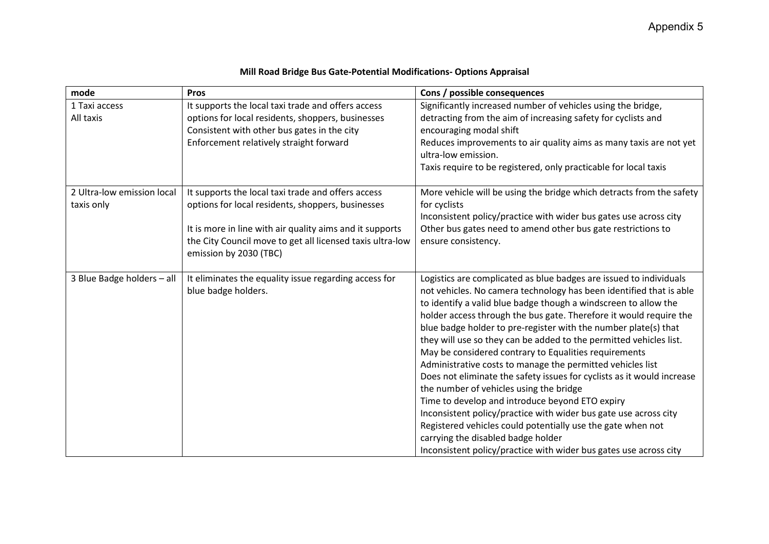| mode                                     | <b>Pros</b>                                                                                                                                                                                                                                                | Cons / possible consequences                                                                                                                                                                                                                                                                                                                                                                                                                                                                                                                                                                                                                                                                                                                                                                                                                                                                                                                                             |
|------------------------------------------|------------------------------------------------------------------------------------------------------------------------------------------------------------------------------------------------------------------------------------------------------------|--------------------------------------------------------------------------------------------------------------------------------------------------------------------------------------------------------------------------------------------------------------------------------------------------------------------------------------------------------------------------------------------------------------------------------------------------------------------------------------------------------------------------------------------------------------------------------------------------------------------------------------------------------------------------------------------------------------------------------------------------------------------------------------------------------------------------------------------------------------------------------------------------------------------------------------------------------------------------|
| 1 Taxi access<br>All taxis               | It supports the local taxi trade and offers access<br>options for local residents, shoppers, businesses<br>Consistent with other bus gates in the city<br>Enforcement relatively straight forward                                                          | Significantly increased number of vehicles using the bridge,<br>detracting from the aim of increasing safety for cyclists and<br>encouraging modal shift<br>Reduces improvements to air quality aims as many taxis are not yet<br>ultra-low emission.<br>Taxis require to be registered, only practicable for local taxis                                                                                                                                                                                                                                                                                                                                                                                                                                                                                                                                                                                                                                                |
| 2 Ultra-low emission local<br>taxis only | It supports the local taxi trade and offers access<br>options for local residents, shoppers, businesses<br>It is more in line with air quality aims and it supports<br>the City Council move to get all licensed taxis ultra-low<br>emission by 2030 (TBC) | More vehicle will be using the bridge which detracts from the safety<br>for cyclists<br>Inconsistent policy/practice with wider bus gates use across city<br>Other bus gates need to amend other bus gate restrictions to<br>ensure consistency.                                                                                                                                                                                                                                                                                                                                                                                                                                                                                                                                                                                                                                                                                                                         |
| 3 Blue Badge holders - all               | It eliminates the equality issue regarding access for<br>blue badge holders.                                                                                                                                                                               | Logistics are complicated as blue badges are issued to individuals<br>not vehicles. No camera technology has been identified that is able<br>to identify a valid blue badge though a windscreen to allow the<br>holder access through the bus gate. Therefore it would require the<br>blue badge holder to pre-register with the number plate(s) that<br>they will use so they can be added to the permitted vehicles list.<br>May be considered contrary to Equalities requirements<br>Administrative costs to manage the permitted vehicles list<br>Does not eliminate the safety issues for cyclists as it would increase<br>the number of vehicles using the bridge<br>Time to develop and introduce beyond ETO expiry<br>Inconsistent policy/practice with wider bus gate use across city<br>Registered vehicles could potentially use the gate when not<br>carrying the disabled badge holder<br>Inconsistent policy/practice with wider bus gates use across city |

## **Mill Road Bridge Bus Gate-Potential Modifications- Options Appraisal**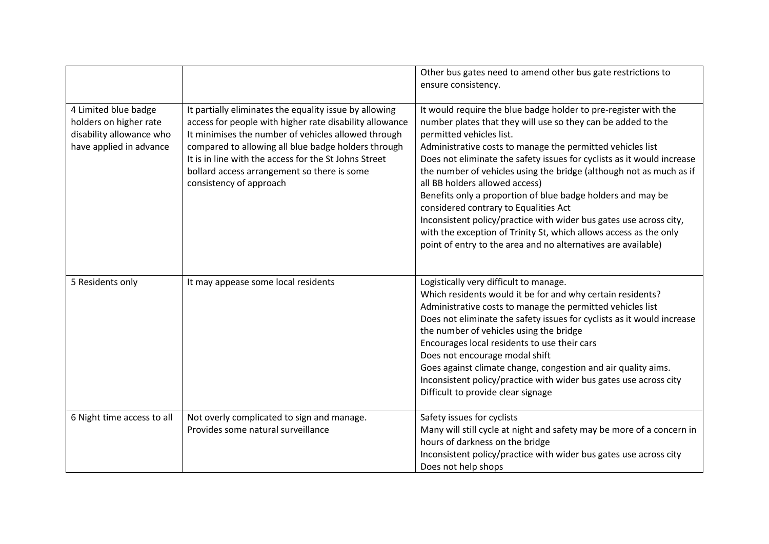|                                                                                                       |                                                                                                                                                                                                                                                                                                                                                                    | Other bus gates need to amend other bus gate restrictions to<br>ensure consistency.                                                                                                                                                                                                                                                                                                                                                                                                                                                                                                                                                                                                                                              |
|-------------------------------------------------------------------------------------------------------|--------------------------------------------------------------------------------------------------------------------------------------------------------------------------------------------------------------------------------------------------------------------------------------------------------------------------------------------------------------------|----------------------------------------------------------------------------------------------------------------------------------------------------------------------------------------------------------------------------------------------------------------------------------------------------------------------------------------------------------------------------------------------------------------------------------------------------------------------------------------------------------------------------------------------------------------------------------------------------------------------------------------------------------------------------------------------------------------------------------|
| 4 Limited blue badge<br>holders on higher rate<br>disability allowance who<br>have applied in advance | It partially eliminates the equality issue by allowing<br>access for people with higher rate disability allowance<br>It minimises the number of vehicles allowed through<br>compared to allowing all blue badge holders through<br>It is in line with the access for the St Johns Street<br>bollard access arrangement so there is some<br>consistency of approach | It would require the blue badge holder to pre-register with the<br>number plates that they will use so they can be added to the<br>permitted vehicles list.<br>Administrative costs to manage the permitted vehicles list<br>Does not eliminate the safety issues for cyclists as it would increase<br>the number of vehicles using the bridge (although not as much as if<br>all BB holders allowed access)<br>Benefits only a proportion of blue badge holders and may be<br>considered contrary to Equalities Act<br>Inconsistent policy/practice with wider bus gates use across city,<br>with the exception of Trinity St, which allows access as the only<br>point of entry to the area and no alternatives are available) |
| 5 Residents only                                                                                      | It may appease some local residents                                                                                                                                                                                                                                                                                                                                | Logistically very difficult to manage.<br>Which residents would it be for and why certain residents?<br>Administrative costs to manage the permitted vehicles list<br>Does not eliminate the safety issues for cyclists as it would increase<br>the number of vehicles using the bridge<br>Encourages local residents to use their cars<br>Does not encourage modal shift<br>Goes against climate change, congestion and air quality aims.<br>Inconsistent policy/practice with wider bus gates use across city<br>Difficult to provide clear signage                                                                                                                                                                            |
| 6 Night time access to all                                                                            | Not overly complicated to sign and manage.<br>Provides some natural surveillance                                                                                                                                                                                                                                                                                   | Safety issues for cyclists<br>Many will still cycle at night and safety may be more of a concern in<br>hours of darkness on the bridge<br>Inconsistent policy/practice with wider bus gates use across city<br>Does not help shops                                                                                                                                                                                                                                                                                                                                                                                                                                                                                               |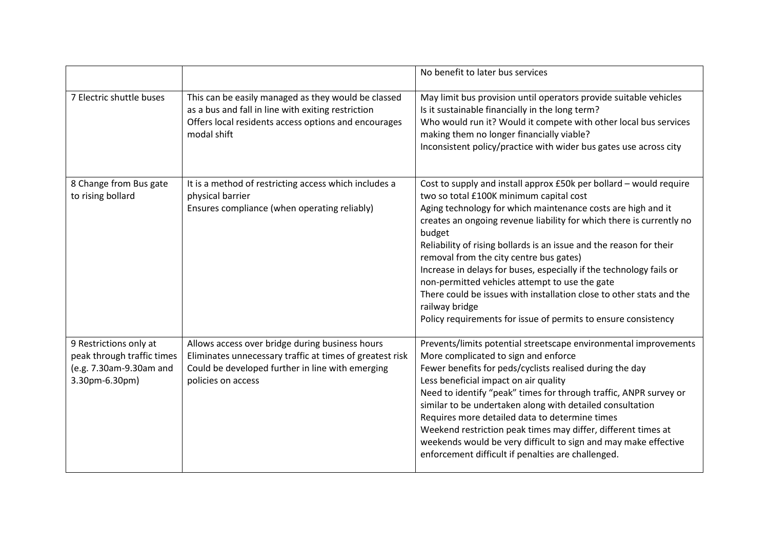|                                                                                                   |                                                                                                                                                                                       | No benefit to later bus services                                                                                                                                                                                                                                                                                                                                                                                                                                                                                                                                                                                                                                       |
|---------------------------------------------------------------------------------------------------|---------------------------------------------------------------------------------------------------------------------------------------------------------------------------------------|------------------------------------------------------------------------------------------------------------------------------------------------------------------------------------------------------------------------------------------------------------------------------------------------------------------------------------------------------------------------------------------------------------------------------------------------------------------------------------------------------------------------------------------------------------------------------------------------------------------------------------------------------------------------|
| 7 Electric shuttle buses                                                                          | This can be easily managed as they would be classed<br>as a bus and fall in line with exiting restriction<br>Offers local residents access options and encourages<br>modal shift      | May limit bus provision until operators provide suitable vehicles<br>Is it sustainable financially in the long term?<br>Who would run it? Would it compete with other local bus services<br>making them no longer financially viable?<br>Inconsistent policy/practice with wider bus gates use across city                                                                                                                                                                                                                                                                                                                                                             |
| 8 Change from Bus gate<br>to rising bollard                                                       | It is a method of restricting access which includes a<br>physical barrier<br>Ensures compliance (when operating reliably)                                                             | Cost to supply and install approx £50k per bollard - would require<br>two so total £100K minimum capital cost<br>Aging technology for which maintenance costs are high and it<br>creates an ongoing revenue liability for which there is currently no<br>budget<br>Reliability of rising bollards is an issue and the reason for their<br>removal from the city centre bus gates)<br>Increase in delays for buses, especially if the technology fails or<br>non-permitted vehicles attempt to use the gate<br>There could be issues with installation close to other stats and the<br>railway bridge<br>Policy requirements for issue of permits to ensure consistency |
| 9 Restrictions only at<br>peak through traffic times<br>(e.g. 7.30am-9.30am and<br>3.30pm-6.30pm) | Allows access over bridge during business hours<br>Eliminates unnecessary traffic at times of greatest risk<br>Could be developed further in line with emerging<br>policies on access | Prevents/limits potential streetscape environmental improvements<br>More complicated to sign and enforce<br>Fewer benefits for peds/cyclists realised during the day<br>Less beneficial impact on air quality<br>Need to identify "peak" times for through traffic, ANPR survey or<br>similar to be undertaken along with detailed consultation<br>Requires more detailed data to determine times<br>Weekend restriction peak times may differ, different times at<br>weekends would be very difficult to sign and may make effective<br>enforcement difficult if penalties are challenged.                                                                            |